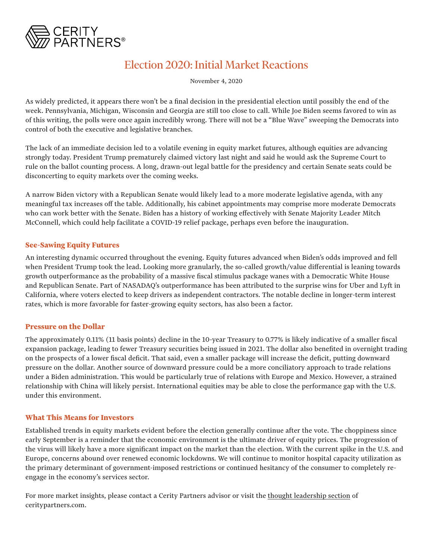

# Election 2020: Initial Market Reactions

November 4, 2020

As widely predicted, it appears there won't be a final decision in the presidential election until possibly the end of the week. Pennsylvania, Michigan, Wisconsin and Georgia are still too close to call. While Joe Biden seems favored to win as of this writing, the polls were once again incredibly wrong. There will not be a "Blue Wave" sweeping the Democrats into control of both the executive and legislative branches.

The lack of an immediate decision led to a volatile evening in equity market futures, although equities are advancing strongly today. President Trump prematurely claimed victory last night and said he would ask the Supreme Court to rule on the ballot counting process. A long, drawn-out legal battle for the presidency and certain Senate seats could be disconcerting to equity markets over the coming weeks.

A narrow Biden victory with a Republican Senate would likely lead to a more moderate legislative agenda, with any meaningful tax increases off the table. Additionally, his cabinet appointments may comprise more moderate Democrats who can work better with the Senate. Biden has a history of working effectively with Senate Majority Leader Mitch McConnell, which could help facilitate a COVID-19 relief package, perhaps even before the inauguration.

## **See-Sawing Equity Futures**

An interesting dynamic occurred throughout the evening. Equity futures advanced when Biden's odds improved and fell when President Trump took the lead. Looking more granularly, the so-called growth/value differential is leaning towards growth outperformance as the probability of a massive fiscal stimulus package wanes with a Democratic White House and Republican Senate. Part of NASADAQ's outperformance has been attributed to the surprise wins for Uber and Lyft in California, where voters elected to keep drivers as independent contractors. The notable decline in longer-term interest rates, which is more favorable for faster-growing equity sectors, has also been a factor.

## **Pressure on the Dollar**

The approximately 0.11% (11 basis points) decline in the 10-year Treasury to 0.77% is likely indicative of a smaller fiscal expansion package, leading to fewer Treasury securities being issued in 2021. The dollar also benefited in overnight trading on the prospects of a lower fiscal deficit. That said, even a smaller package will increase the deficit, putting downward pressure on the dollar. Another source of downward pressure could be a more conciliatory approach to trade relations under a Biden administration. This would be particularly true of relations with Europe and Mexico. However, a strained relationship with China will likely persist. International equities may be able to close the performance gap with the U.S. under this environment.

## **What This Means for Investors**

Established trends in equity markets evident before the election generally continue after the vote. The choppiness since early September is a reminder that the economic environment is the ultimate driver of equity prices. The progression of the virus will likely have a more significant impact on the market than the election. With the current spike in the U.S. and Europe, concerns abound over renewed economic lockdowns. We will continue to monitor hospital capacity utilization as the primary determinant of government-imposed restrictions or continued hesitancy of the consumer to completely reengage in the economy's services sector.

For more market insights, please contact a Cerity Partners advisor or visit the [thought leadership section](https://ceritypartners.com/thought-leadership) of ceritypartners.com.